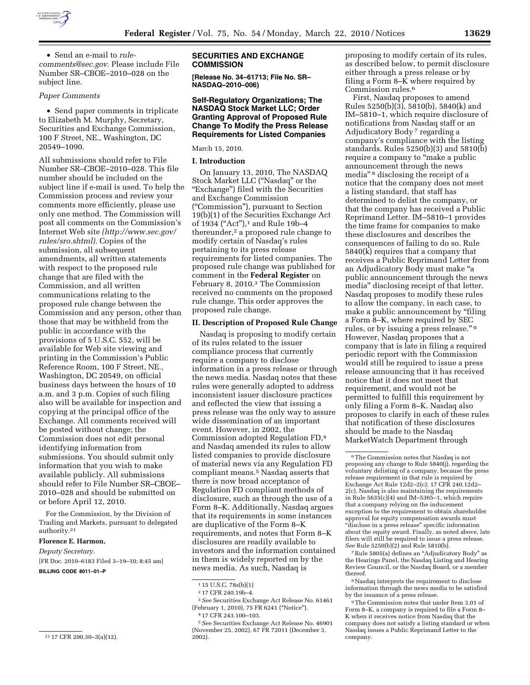

• Send an e-mail to *rulecomments@sec.gov.* Please include File Number SR–CBOE–2010–028 on the subject line.

### *Paper Comments*

• Send paper comments in triplicate to Elizabeth M. Murphy, Secretary, Securities and Exchange Commission, 100 F Street, NE., Washington, DC 20549–1090.

All submissions should refer to File Number SR–CBOE–2010–028. This file number should be included on the subject line if e-mail is used. To help the Commission process and review your comments more efficiently, please use only one method. The Commission will post all comments on the Commission's Internet Web site *(http://www.sec.gov/ rules/sro.shtml).* Copies of the submission, all subsequent amendments, all written statements with respect to the proposed rule change that are filed with the Commission, and all written communications relating to the proposed rule change between the Commission and any person, other than those that may be withheld from the public in accordance with the provisions of 5 U.S.C. 552, will be available for Web site viewing and printing in the Commission's Public Reference Room, 100 F Street, NE., Washington, DC 20549, on official business days between the hours of 10 a.m. and 3 p.m. Copies of such filing also will be available for inspection and copying at the principal office of the Exchange. All comments received will be posted without change; the Commission does not edit personal identifying information from submissions. You should submit only information that you wish to make available publicly. All submissions should refer to File Number SR–CBOE– 2010–028 and should be submitted on or before April 12, 2010.

For the Commission, by the Division of Trading and Markets, pursuant to delegated authority.21

### **Florence E. Harmon,**

*Deputy Secretary.* 

[FR Doc. 2010–6183 Filed 3–19–10; 8:45 am]

**BILLING CODE 8011–01–P** 

### **SECURITIES AND EXCHANGE COMMISSION**

**[Release No. 34–61713; File No. SR– NASDAQ–2010–006)** 

## **Self-Regulatory Organizations; The NASDAQ Stock Market LLC; Order Granting Approval of Proposed Rule Change To Modify the Press Release Requirements for Listed Companies**

# March 15, 2010.

#### **I. Introduction**

On January 13, 2010, The NASDAQ Stock Market LLC (''Nasdaq'' or the "Exchange") filed with the Securities and Exchange Commission (''Commission''), pursuant to Section 19(b)(1) of the Securities Exchange Act of 1934 ("Act"),<sup>1</sup> and Rule 19b-4 thereunder,<sup>2</sup> a proposed rule change to modify certain of Nasdaq's rules pertaining to its press release requirements for listed companies. The proposed rule change was published for comment in the **Federal Register** on February 8, 2010.3 The Commission received no comments on the proposed rule change. This order approves the proposed rule change.

### **II. Description of Proposed Rule Change**

Nasdaq is proposing to modify certain of its rules related to the issuer compliance process that currently require a company to disclose information in a press release or through the news media. Nasdaq notes that these rules were generally adopted to address inconsistent issuer disclosure practices and reflected the view that issuing a press release was the only way to assure wide dissemination of an important event. However, in 2002, the Commission adopted Regulation FD,4 and Nasdaq amended its rules to allow listed companies to provide disclosure of material news via any Regulation FD compliant means.5 Nasdaq asserts that there is now broad acceptance of Regulation FD compliant methods of disclosure, such as through the use of a Form 8–K. Additionally, Nasdaq argues that its requirements in some instances are duplicative of the Form 8–K requirements, and notes that Form 8–K disclosures are readily available to investors and the information contained in them is widely reported on by the news media. As such, Nasdaq is

3*See* Securities Exchange Act Release No. 61461 (February 1, 2010), 75 FR 6241 (''Notice''). 4 17 CFR 243.100–103.

5*See* Securities Exchange Act Release No. 46901 (November 25, 2002), 67 FR 72011 (December 3, 2002).

proposing to modify certain of its rules, as described below, to permit disclosure either through a press release or by filing a Form 8–K where required by Commission rules.6

First, Nasdaq proposes to amend Rules 5250(b)(3), 5810(b), 5840(k) and IM–5810–1, which require disclosure of notifications from Nasdaq staff or an Adjudicatory Body 7 regarding a company's compliance with the listing standards. Rules 5250(b)(3) and 5810(b) require a company to "make a public announcement through the news media"<sup>8</sup> disclosing the receipt of a notice that the company does not meet a listing standard, that staff has determined to delist the company, or that the company has received a Public Reprimand Letter. IM–5810–1 provides the time frame for companies to make these disclosures and describes the consequences of failing to do so. Rule 5840(k) requires that a company that receives a Public Reprimand Letter from an Adjudicatory Body must make ''a public announcement through the news media'' disclosing receipt of that letter. Nasdaq proposes to modify these rules to allow the company, in each case, to make a public announcement by ''filing a Form 8–K, where required by SEC rules, or by issuing a press release.'' 9 However, Nasdaq proposes that a company that is late in filing a required periodic report with the Commission would still be required to issue a press release announcing that it has received notice that it does not meet that requirement, and would not be permitted to fulfill this requirement by only filing a Form 8–K. Nasdaq also proposes to clarify in each of these rules that notification of these disclosures should be made to the Nasdaq MarketWatch Department through

7Rule 5805(a) defines an ''Adjudicatory Body'' as the Hearings Panel, the Nasdaq Listing and Hearing Review Council, or the Nasdaq Board, or a member thereof.

8Nasdaq interprets the requirement to disclose information through the news media to be satisfied by the issuance of a press release.

<sup>21</sup> 17 CFR 200.30–3(a)(12).

<sup>1</sup> 15 U.S.C. 78s(b)(1)

<sup>2</sup> 17 CFR 240.19b–4.

<sup>6</sup>The Commission notes that Nasdaq is not proposing any change to Rule 5840(j), regarding the voluntary delisting of a company, because the press release requirement in that rule is required by Exchange Act Rule 12d2–2(c); 17 CFR 240.12d2– 2(c). Nasdaq is also maintaining the requirements in Rule  $563\overline{5}$ (c)(4) and IM–5365–1, which require that a company relying on the inducement exception to the requirement to obtain shareholder approval for equity compensation awards must ''disclose in a press release'' specific information about the equity award. Finally, as noted above, late filers will still be required to issue a press release. *See* Rule 5250(b)(2) and Rule 5810(b).

<sup>9</sup>The Commission notes that under Item 3.01 of Form 8–K, a company is required to file a Form 8– K when it receives notice from Nasdaq that the company does not satisfy a listing standard or when Nasdaq issues a Public Reprimand Letter to the company.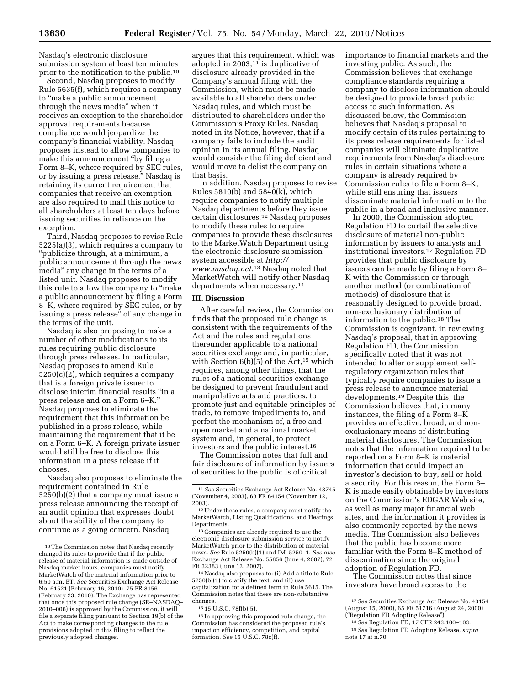Nasdaq's electronic disclosure submission system at least ten minutes prior to the notification to the public.10

Second, Nasdaq proposes to modify Rule 5635(f), which requires a company to ''make a public announcement through the news media'' when it receives an exception to the shareholder approval requirements because compliance would jeopardize the company's financial viability. Nasdaq proposes instead to allow companies to make this announcement ''by filing a Form 8–K, where required by SEC rules, or by issuing a press release.'' Nasdaq is retaining its current requirement that companies that receive an exemption are also required to mail this notice to all shareholders at least ten days before issuing securities in reliance on the exception.

Third, Nasdaq proposes to revise Rule 5225(a)(3), which requires a company to ''publicize through, at a minimum, a public announcement through the news media'' any change in the terms of a listed unit. Nasdaq proposes to modify this rule to allow the company to ''make a public announcement by filing a Form 8–K, where required by SEC rules, or by issuing a press release'' of any change in the terms of the unit.

Nasdaq is also proposing to make a number of other modifications to its rules requiring public disclosure through press releases. In particular, Nasdaq proposes to amend Rule 5250(c)(2), which requires a company that is a foreign private issuer to disclose interim financial results ''in a press release and on a Form 6–K.'' Nasdaq proposes to eliminate the requirement that this information be published in a press release, while maintaining the requirement that it be on a Form 6–K. A foreign private issuer would still be free to disclose this information in a press release if it chooses.

Nasdaq also proposes to eliminate the requirement contained in Rule 5250(b)(2) that a company must issue a press release announcing the receipt of an audit opinion that expresses doubt about the ability of the company to continue as a going concern. Nasdaq

argues that this requirement, which was adopted in 2003, $11$  is duplicative of disclosure already provided in the Company's annual filing with the Commission, which must be made available to all shareholders under Nasdaq rules, and which must be distributed to shareholders under the Commission's Proxy Rules. Nasdaq noted in its Notice, however, that if a company fails to include the audit opinion in its annual filing, Nasdaq would consider the filing deficient and would move to delist the company on that basis.

In addition, Nasdaq proposes to revise Rules 5810(b) and 5840(k), which require companies to notify multiple Nasdaq departments before they issue certain disclosures.12 Nasdaq proposes to modify these rules to require companies to provide these disclosures to the MarketWatch Department using the electronic disclosure submission system accessible at *http:// www.nasdaq.net.*13 Nasdaq noted that MarketWatch will notify other Nasdaq departments when necessary.14

### **III. Discussion**

After careful review, the Commission finds that the proposed rule change is consistent with the requirements of the Act and the rules and regulations thereunder applicable to a national securities exchange and, in particular, with Section  $6(b)(5)$  of the Act,<sup>15</sup> which requires, among other things, that the rules of a national securities exchange be designed to prevent fraudulent and manipulative acts and practices, to promote just and equitable principles of trade, to remove impediments to, and perfect the mechanism of, a free and open market and a national market system and, in general, to protect investors and the public interest.16

The Commission notes that full and fair disclosure of information by issuers of securities to the public is of critical

13Companies are already required to use the electronic disclosure submission service to notify MarketWatch prior to the distribution of material news. *See* Rule 5250(b)(1) and IM–5250–1. *See also*  Exchange Act Release No. 55856 (June 4, 2007), 72 FR 32383 (June 12, 2007).

14Nasdaq also proposes to: (i) Add a title to Rule  $5250(b)(1)$  to clarify the text; and (ii) use capitalization for a defined term in Rule 5615. The Commission notes that these are non-substantive changes.

15 15 U.S.C. 78f(b)(5).

16 In approving this proposed rule change, the Commission has considered the proposed rule's impact on efficiency, competition, and capital formation. *See* 15 U.S.C. 78c(f).

importance to financial markets and the investing public. As such, the Commission believes that exchange compliance standards requiring a company to disclose information should be designed to provide broad public access to such information. As discussed below, the Commission believes that Nasdaq's proposal to modify certain of its rules pertaining to its press release requirements for listed companies will eliminate duplicative requirements from Nasdaq's disclosure rules in certain situations where a company is already required by Commission rules to file a Form 8–K, while still ensuring that issuers disseminate material information to the public in a broad and inclusive manner.

In 2000, the Commission adopted Regulation FD to curtail the selective disclosure of material non-public information by issuers to analysts and institutional investors.17 Regulation FD provides that public disclosure by issuers can be made by filing a Form 8– K with the Commission or through another method (or combination of methods) of disclosure that is reasonably designed to provide broad, non-exclusionary distribution of information to the public.18 The Commission is cognizant, in reviewing Nasdaq's proposal, that in approving Regulation FD, the Commission specifically noted that it was not intended to alter or supplement selfregulatory organization rules that typically require companies to issue a press release to announce material developments.19 Despite this, the Commission believes that, in many instances, the filing of a Form 8–K provides an effective, broad, and nonexclusionary means of distributing material disclosures. The Commission notes that the information required to be reported on a Form 8–K is material information that could impact an investor's decision to buy, sell or hold a security. For this reason, the Form 8– K is made easily obtainable by investors on the Commission's EDGAR Web site, as well as many major financial web sites, and the information it provides is also commonly reported by the news media. The Commission also believes that the public has become more familiar with the Form 8–K method of dissemination since the original adoption of Regulation FD.

The Commission notes that since investors have broad access to the

<sup>10</sup>The Commission notes that Nasdaq recently changed its rules to provide that if the public release of material information is made outside of Nasdaq market hours, companies must notify MarketWatch of the material information prior to 6:50 a.m. ET. *See* Securities Exchange Act Release No. 61521 (February 16, 2010), 75 FR 8156 (February 23, 2010). The Exchange has represented that once this proposed rule change (SR–NASDAQ– 2010–006) is approved by the Commission, it will file a separate filing pursuant to Section 19(b) of the Act to make corresponding changes to the rule provisions adopted in this filing to reflect the previously adopted changes.

<sup>11</sup>*See* Securities Exchange Act Release No. 48745 (November 4, 2003), 68 FR 64154 (November 12, 2003). 12Under these rules, a company must notify the

MarketWatch, Listing Qualifications, and Hearings Departments.

<sup>17</sup>*See* Securities Exchange Act Release No. 43154 (August 15, 2000), 65 FR 51716 (August 24, 2000)

<sup>&</sup>lt;sup>18</sup> See Regulation FD, 17 CFR 243.100–103.<br><sup>19</sup> See Regulation FD Adopting Release, *supra* note 17 at n.70.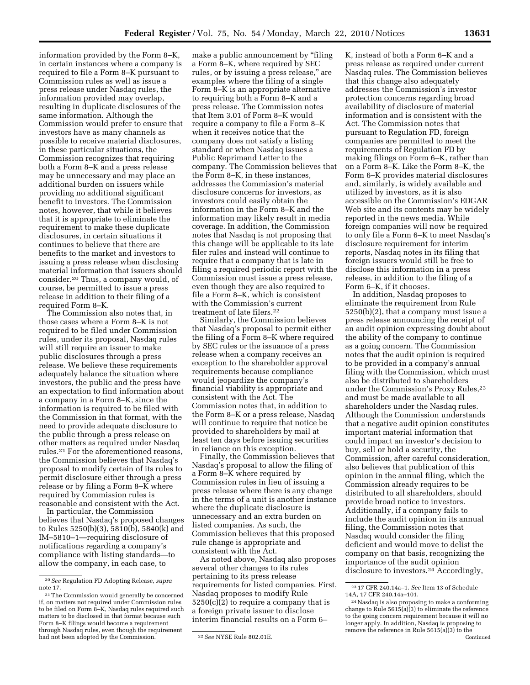information provided by the Form 8–K, in certain instances where a company is required to file a Form 8–K pursuant to Commission rules as well as issue a press release under Nasdaq rules, the information provided may overlap, resulting in duplicate disclosures of the same information. Although the Commission would prefer to ensure that investors have as many channels as possible to receive material disclosures, in these particular situations, the Commission recognizes that requiring both a Form 8–K and a press release may be unnecessary and may place an additional burden on issuers while providing no additional significant benefit to investors. The Commission notes, however, that while it believes that it is appropriate to eliminate the requirement to make these duplicate disclosures, in certain situations it continues to believe that there are benefits to the market and investors to issuing a press release when disclosing material information that issuers should consider.20 Thus, a company would, of course, be permitted to issue a press release in addition to their filing of a required Form 8–K.

The Commission also notes that, in those cases where a Form 8–K is not required to be filed under Commission rules, under its proposal, Nasdaq rules will still require an issuer to make public disclosures through a press release. We believe these requirements adequately balance the situation where investors, the public and the press have an expectation to find information about a company in a Form 8–K, since the information is required to be filed with the Commission in that format, with the need to provide adequate disclosure to the public through a press release on other matters as required under Nasdaq rules.21 For the aforementioned reasons, the Commission believes that Nasdaq's proposal to modify certain of its rules to permit disclosure either through a press release or by filing a Form 8–K where required by Commission rules is reasonable and consistent with the Act.

In particular, the Commission believes that Nasdaq's proposed changes to Rules 5250(b)(3), 5810(b), 5840(k) and IM–5810–1—requiring disclosure of notifications regarding a company's compliance with listing standards—to allow the company, in each case, to

make a public announcement by ''filing a Form 8–K, where required by SEC rules, or by issuing a press release,'' are examples where the filing of a single Form 8–K is an appropriate alternative to requiring both a Form 8–K and a press release. The Commission notes that Item 3.01 of Form 8–K would require a company to file a Form 8–K when it receives notice that the company does not satisfy a listing standard or when Nasdaq issues a Public Reprimand Letter to the company. The Commission believes that the Form 8–K, in these instances, addresses the Commission's material disclosure concerns for investors, as investors could easily obtain the information in the Form 8–K and the information may likely result in media coverage. In addition, the Commission notes that Nasdaq is not proposing that this change will be applicable to its late filer rules and instead will continue to require that a company that is late in filing a required periodic report with the Commission must issue a press release, even though they are also required to file a Form 8–K, which is consistent with the Commission's current treatment of late filers.<sup>22</sup>

Similarly, the Commission believes that Nasdaq's proposal to permit either the filing of a Form 8–K where required by SEC rules or the issuance of a press release when a company receives an exception to the shareholder approval requirements because compliance would jeopardize the company's financial viability is appropriate and consistent with the Act. The Commission notes that, in addition to the Form 8–K or a press release, Nasdaq will continue to require that notice be provided to shareholders by mail at least ten days before issuing securities in reliance on this exception.

Finally, the Commission believes that Nasdaq's proposal to allow the filing of a Form 8–K where required by Commission rules in lieu of issuing a press release where there is any change in the terms of a unit is another instance where the duplicate disclosure is unnecessary and an extra burden on listed companies. As such, the Commission believes that this proposed rule change is appropriate and consistent with the Act.

As noted above, Nasdaq also proposes several other changes to its rules pertaining to its press release requirements for listed companies. First, Nasdaq proposes to modify Rule  $5250(c)(2)$  to require a company that is a foreign private issuer to disclose interim financial results on a Form 6–

K, instead of both a Form 6–K and a press release as required under current Nasdaq rules. The Commission believes that this change also adequately addresses the Commission's investor protection concerns regarding broad availability of disclosure of material information and is consistent with the Act. The Commission notes that pursuant to Regulation FD, foreign companies are permitted to meet the requirements of Regulation FD by making filings on Form 6–K, rather than on a Form 8–K. Like the Form 8–K, the Form 6–K provides material disclosures and, similarly, is widely available and utilized by investors, as it is also accessible on the Commission's EDGAR Web site and its contents may be widely reported in the news media. While foreign companies will now be required to only file a Form 6–K to meet Nasdaq's disclosure requirement for interim reports, Nasdaq notes in its filing that foreign issuers would still be free to disclose this information in a press release, in addition to the filing of a Form 6–K, if it chooses.

In addition, Nasdaq proposes to eliminate the requirement from Rule 5250(b)(2), that a company must issue a press release announcing the receipt of an audit opinion expressing doubt about the ability of the company to continue as a going concern. The Commission notes that the audit opinion is required to be provided in a company's annual filing with the Commission, which must also be distributed to shareholders under the Commission's Proxy Rules,23 and must be made available to all shareholders under the Nasdaq rules. Although the Commission understands that a negative audit opinion constitutes important material information that could impact an investor's decision to buy, sell or hold a security, the Commission, after careful consideration, also believes that publication of this opinion in the annual filing, which the Commission already requires to be distributed to all shareholders, should provide broad notice to investors. Additionally, if a company fails to include the audit opinion in its annual filing, the Commission notes that Nasdaq would consider the filing deficient and would move to delist the company on that basis, recognizing the importance of the audit opinion disclosure to investors.24 Accordingly,

<sup>20</sup>*See* Regulation FD Adopting Release, *supra*  note 17.

<sup>21</sup>The Commission would generally be concerned if, on matters not required under Commission rules to be filed on Form 8–K, Nasdaq rules required such matters to be disclosed in that format because such Form 8–K filings would become a requirement through Nasdaq rules, even though the requirement had not been adopted by the Commission.<sup>22</sup> See NYSE Rule 802.01E.

<sup>23</sup> 17 CFR 240.14a–1. *See* Item 13 of Schedule 14A, 17 CFR 240.14a–101.

<sup>24</sup>Nasdaq is also proposing to make a conforming change to Rule  $5615(a)(3)$  to eliminate the reference to the going concern requirement because it will no longer apply. In addition, Nasdaq is proposing to remove the reference in Rule 5615(a)(3) to the Continued